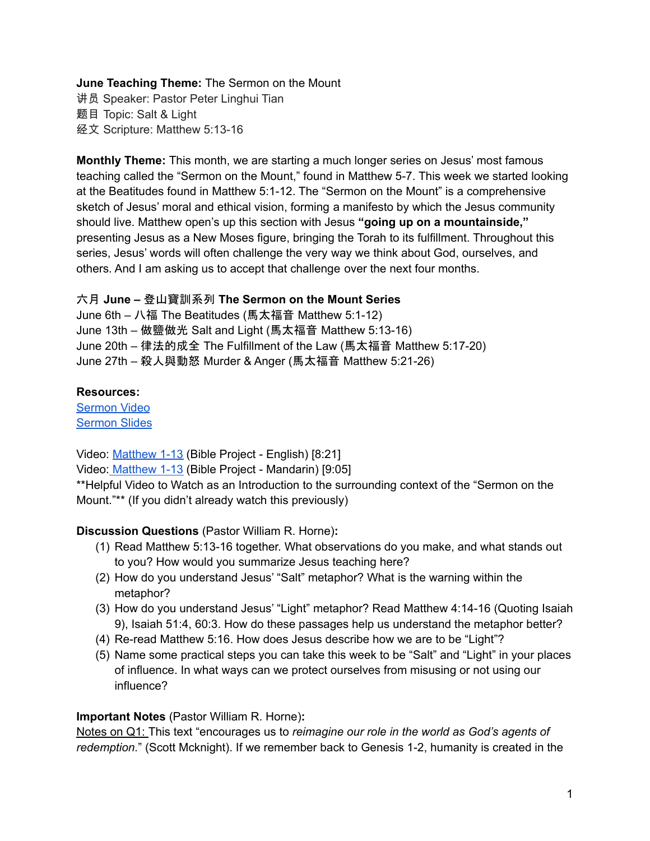# **June Teaching Theme:** The Sermon on the Mount

讲员 Speaker: Pastor Peter Linghui Tian 题目 Topic: Salt & Light 经文 Scripture: Matthew 5:13-16

**Monthly Theme:** This month, we are starting a much longer series on Jesus' most famous teaching called the "Sermon on the Mount," found in Matthew 5-7. This week we started looking at the Beatitudes found in Matthew 5:1-12. The "Sermon on the Mount" is a comprehensive sketch of Jesus' moral and ethical vision, forming a manifesto by which the Jesus community should live. Matthew open's up this section with Jesus **"going up on a mountainside,"** presenting Jesus as a New Moses figure, bringing the Torah to its fulfillment. Throughout this series, Jesus' words will often challenge the very way we think about God, ourselves, and others. And I am asking us to accept that challenge over the next four months.

#### 六月 **June –** 登山寶訓系列 **The Sermon on the Mount Series**

June 6th – 八福 The Beatitudes (馬太福音 Matthew 5:1-12) June 13th – 做鹽做光 Salt and Light (馬太福音 Matthew 5:13-16) June 20th – 律法的成全 The Fulfillment of the Law (馬太福音 Matthew 5:17-20) June 27th – 殺人與動怒 Murder & Anger (馬太福音 Matthew 5:21-26)

#### **Resources:**

[Sermon](https://www.youtube.com/watch?v=jhNqumvAW0o) Video [Sermon](http://www.lcccky.org/CellGroup/Meetings/Living%20Out%20a%20Life%20of%20Light%20and%20Salt.pdf) Slides

Video: [Matthew](https://bibleproject.com/explore/video/matthew-1-13/) 1-13 (Bible Project - English) [8:21] Video: [Matthew](https://www.youtube.com/watch?v=AOZpAGO2DEo) 1-13 (Bible Project - Mandarin) [9:05] \*\*Helpful Video to Watch as an Introduction to the surrounding context of the "Sermon on the Mount."\*\* (If you didn't already watch this previously)

# **Discussion Questions** (Pastor William R. Horne)**:**

- (1) Read Matthew 5:13-16 together. What observations do you make, and what stands out to you? How would you summarize Jesus teaching here?
- (2) How do you understand Jesus' "Salt" metaphor? What is the warning within the metaphor?
- (3) How do you understand Jesus' "Light" metaphor? Read Matthew 4:14-16 (Quoting Isaiah 9), Isaiah 51:4, 60:3. How do these passages help us understand the metaphor better?
- (4) Re-read Matthew 5:16. How does Jesus describe how we are to be "Light"?
- (5) Name some practical steps you can take this week to be "Salt" and "Light" in your places of influence. In what ways can we protect ourselves from misusing or not using our influence?

# **Important Notes** (Pastor William R. Horne)**:**

Notes on Q1: This text "encourages us to *reimagine our role in the world as God's agents of redemption.*" (Scott Mcknight). If we remember back to Genesis 1-2, humanity is created in the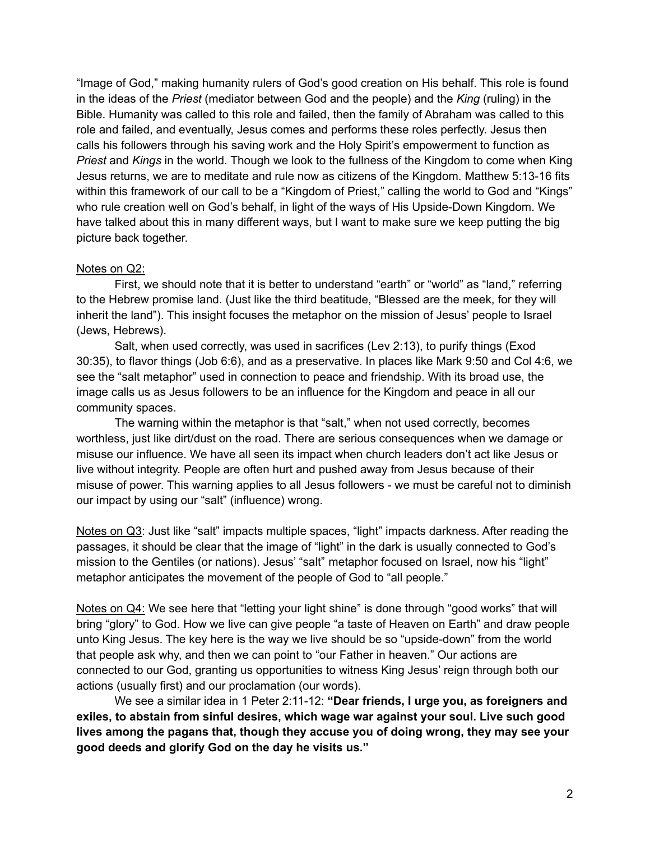"Image of God," making humanity rulers of God's good creation on His behalf. This role is found in the ideas of the *Priest* (mediator between God and the people) and the *King* (ruling) in the Bible. Humanity was called to this role and failed, then the family of Abraham was called to this role and failed, and eventually, Jesus comes and performs these roles perfectly. Jesus then calls his followers through his saving work and the Holy Spirit's empowerment to function as *Priest* and *Kings* in the world. Though we look to the fullness of the Kingdom to come when King Jesus returns, we are to meditate and rule now as citizens of the Kingdom. Matthew 5:13-16 fits within this framework of our call to be a "Kingdom of Priest," calling the world to God and "Kings" who rule creation well on God's behalf, in light of the ways of His Upside-Down Kingdom. We have talked about this in many different ways, but I want to make sure we keep putting the big picture back together.

#### Notes on Q2:

First, we should note that it is better to understand "earth" or "world" as "land," referring to the Hebrew promise land. (Just like the third beatitude, "Blessed are the meek, for they will inherit the land"). This insight focuses the metaphor on the mission of Jesus' people to Israel (Jews, Hebrews).

Salt, when used correctly, was used in sacrifices (Lev 2:13), to purify things (Exod 30:35), to flavor things (Job 6:6), and as a preservative. In places like Mark 9:50 and Col 4:6, we see the "salt metaphor" used in connection to peace and friendship. With its broad use, the image calls us as Jesus followers to be an influence for the Kingdom and peace in all our community spaces.

The warning within the metaphor is that "salt," when not used correctly, becomes worthless, just like dirt/dust on the road. There are serious consequences when we damage or misuse our influence. We have all seen its impact when church leaders don't act like Jesus or live without integrity. People are often hurt and pushed away from Jesus because of their misuse of power. This warning applies to all Jesus followers - we must be careful not to diminish our impact by using our "salt" (influence) wrong.

Notes on Q3: Just like "salt" impacts multiple spaces, "light" impacts darkness. After reading the passages, it should be clear that the image of "light" in the dark is usually connected to God's mission to the Gentiles (or nations). Jesus' "salt" metaphor focused on Israel, now his "light" metaphor anticipates the movement of the people of God to "all people."

Notes on Q4: We see here that "letting your light shine" is done through "good works" that will bring "glory" to God. How we live can give people "a taste of Heaven on Earth" and draw people unto King Jesus. The key here is the way we live should be so "upside-down" from the world that people ask why, and then we can point to "our Father in heaven." Our actions are connected to our God, granting us opportunities to witness King Jesus' reign through both our actions (usually first) and our proclamation (our words).

We see a similar idea in 1 Peter 2:11-12: **"Dear friends, I urge you, as foreigners and exiles, to abstain from sinful desires, which wage war against your soul. Live such good lives among the pagans that, though they accuse you of doing wrong, they may see your good deeds and glorify God on the day he visits us."**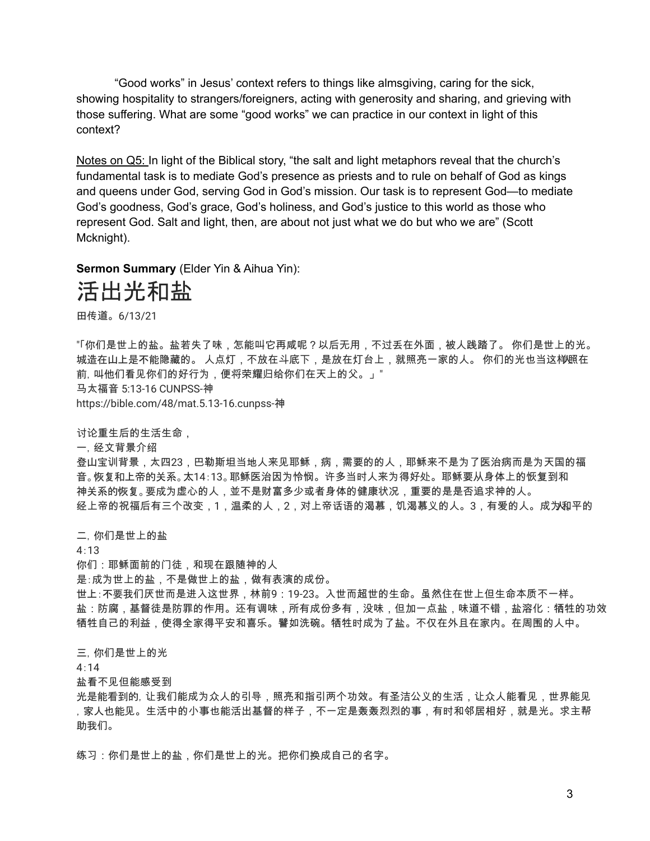"Good works" in Jesus' context refers to things like almsgiving, caring for the sick, showing hospitality to strangers/foreigners, acting with generosity and sharing, and grieving with those suffering. What are some "good works" we can practice in our context in light of this context?

Notes on Q5: In light of the Biblical story, "the salt and light metaphors reveal that the church's fundamental task is to mediate God's presence as priests and to rule on behalf of God as kings and queens under God, serving God in God's mission. Our task is to represent God—to mediate God's goodness, God's grace, God's holiness, and God's justice to this world as those who represent God. Salt and light, then, are about not just what we do but who we are" (Scott Mcknight).

**Sermon Summary** (Elder Yin & Aihua Yin):

# 活出光和盐

田传道。6/13/21

"「你们是世上的盐。盐若失了味,怎能叫它再咸呢?以后无用,不过丢在外面,被人践踏了。 你们是世上的光。 城造在山上是不能隐藏的。 人点灯,不放在斗底下,是放在灯台上,就照亮一家的人。 你们的光也当这<del>样</del>照在 前,叫他们看见你们的好行为,便将荣耀归给你们在天上的父。」" 马太福音 5:13-16 CUNPSS-神 https://bible.com/48/mat.5.13-16.cunpss-神

讨论重生后的生活生命,

一,经文背景介绍

登山宝训背景,太四23,巴勒斯坦当地人来见耶稣,病,需要的的人,耶稣来不是为了医治病而是为天国的福 音。恢复和上帝的关系。太14:13。耶稣医治因为怜悯。许多当时人来为得好处。耶稣要从身体上的恢复到和 神关系的恢复。要成为虚心的人,並不是财富多少或者身体的健康状况,重要的是是否追求神的人。 经上帝的祝福后有三个改变,1,温柔的人,2,对上帝话语的渴慕,饥渴慕义的人。3,有爱的人。成为和平的

二,你们是世上的盐

4:13

你们:耶稣面前的门徒,和现在跟随神的人

是:成为世上的盐,不是做世上的盐,做有表演的成份。

世上:不要我们厌世而是进入这世界,林前9:19-23。入世而超世的生命。虽然住在世上但生命本质不一样。 盐:防腐,基督徒是防罪的作用。还有调味,所有成份多有,没味,但加一点盐,味道不错,盐溶化:牺牲的功效 牺牲自己的利益,使得全家得平安和喜乐。譬如洗碗。牺牲时成为了盐。不仅在外且在家内。在周围的人中。

三,你们是世上的光

4:14

盐看不见但能感受到

光是能看到的,让我们能成为众人的引导,照亮和指引两个功效。有圣洁公义的生活,让众人能看见,世界能见 ,家人也能见。生活中的小事也能活出基督的样子,不一定是轰轰烈烈的事,有时和邻居相好,就是光。求主帮 助我们。

练习:你们是世上的盐,你们是世上的光。把你们换成自己的名字。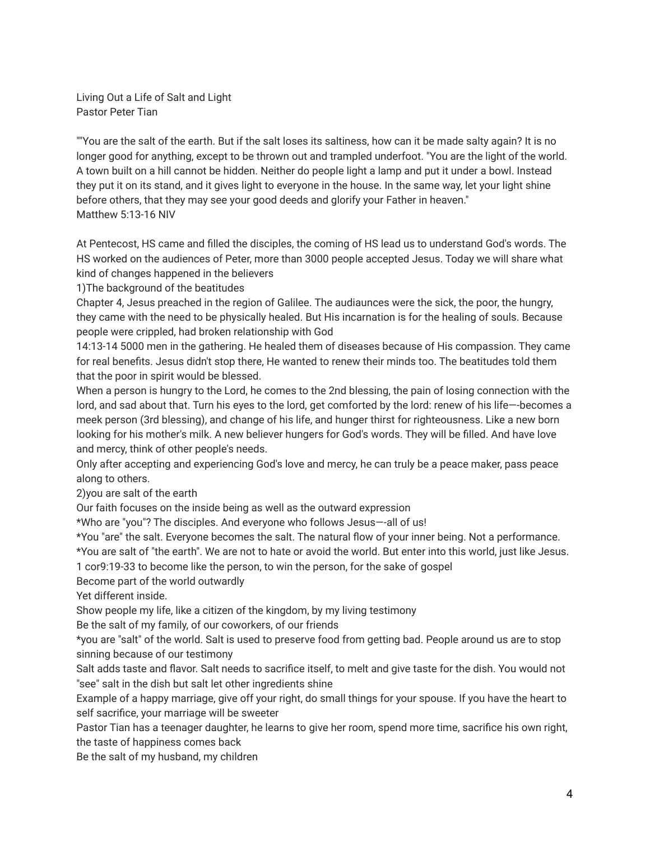Living Out a Life of Salt and Light Pastor Peter Tian

""You are the salt of the earth. But if the salt loses its saltiness, how can it be made salty again? It is no longer good for anything, except to be thrown out and trampled underfoot. "You are the light of the world. A town built on a hill cannot be hidden. Neither do people light a lamp and put it under a bowl. Instead they put it on its stand, and it gives light to everyone in the house. In the same way, let your light shine before others, that they may see your good deeds and glorify your Father in heaven." Matthew 5:13-16 NIV

At Pentecost, HS came and filled the disciples, the coming of HS lead us to understand God's words. The HS worked on the audiences of Peter, more than 3000 people accepted Jesus. Today we will share what kind of changes happened in the believers

1)The background of the beatitudes

Chapter 4, Jesus preached in the region of Galilee. The audiaunces were the sick, the poor, the hungry, they came with the need to be physically healed. But His incarnation is for the healing of souls. Because people were crippled, had broken relationship with God

14:13-14 5000 men in the gathering. He healed them of diseases because of His compassion. They came for real benefits. Jesus didn't stop there, He wanted to renew their minds too. The beatitudes told them that the poor in spirit would be blessed.

When a person is hungry to the Lord, he comes to the 2nd blessing, the pain of losing connection with the lord, and sad about that. Turn his eyes to the lord, get comforted by the lord: renew of his life—-becomes a meek person (3rd blessing), and change of his life, and hunger thirst for righteousness. Like a new born looking for his mother's milk. A new believer hungers for God's words. They will be filled. And have love and mercy, think of other people's needs.

Only after accepting and experiencing God's love and mercy, he can truly be a peace maker, pass peace along to others.

2)you are salt of the earth

Our faith focuses on the inside being as well as the outward expression

\*Who are "you"? The disciples. And everyone who follows Jesus—-all of us!

\*You "are" the salt. Everyone becomes the salt. The natural flow of your inner being. Not a performance.

\*You are salt of "the earth". We are not to hate or avoid the world. But enter into this world, just like Jesus.

1 cor9:19-33 to become like the person, to win the person, for the sake of gospel

Become part of the world outwardly

Yet different inside.

Show people my life, like a citizen of the kingdom, by my living testimony

Be the salt of my family, of our coworkers, of our friends

\*you are "salt" of the world. Salt is used to preserve food from getting bad. People around us are to stop sinning because of our testimony

Salt adds taste and flavor. Salt needs to sacrifice itself, to melt and give taste for the dish. You would not "see" salt in the dish but salt let other ingredients shine

Example of a happy marriage, give off your right, do small things for your spouse. If you have the heart to self sacrifice, your marriage will be sweeter

Pastor Tian has a teenager daughter, he learns to give her room, spend more time, sacrifice his own right, the taste of happiness comes back

Be the salt of my husband, my children